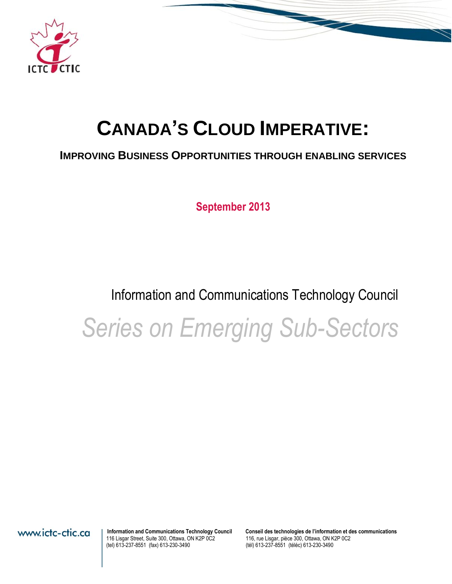

# **CANADA'S CLOUD IMPERATIVE:**

# **IMPROVING BUSINESS OPPORTUNITIES THROUGH ENABLING SERVICES**

**September 2013**

# Information and Communications Technology Council

*Series on Emerging Sub-Sectors*

116 Lisgar Street, Suite 300, Ottawa, ON K2P 0C2<br>(tel) 613-237-8551 (fax) 613-230-3490

**Information and Communications Technology Council** Conseil des technologies de l'information et des communications<br>116, rue Lisgar, pièce 300, Ottawa, ON K2P 0C2<br>116, rue Lisgar, pièce 300, Ottawa, ON K2P 0C2 (tél) 613-237-8551 (téléc) 613-230-3490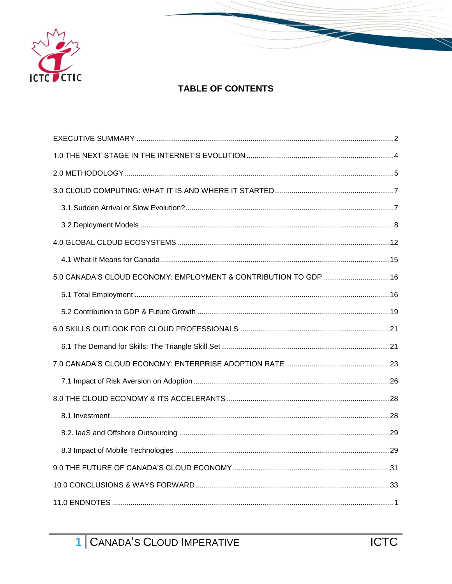

# **TABLE OF CONTENTS**

| 5.0 CANADA'S CLOUD ECONOMY: EMPLOYMENT & CONTRIBUTION TO GDP  16 |  |
|------------------------------------------------------------------|--|
|                                                                  |  |
|                                                                  |  |
|                                                                  |  |
|                                                                  |  |
|                                                                  |  |
|                                                                  |  |
|                                                                  |  |
|                                                                  |  |
|                                                                  |  |
|                                                                  |  |
|                                                                  |  |
|                                                                  |  |
|                                                                  |  |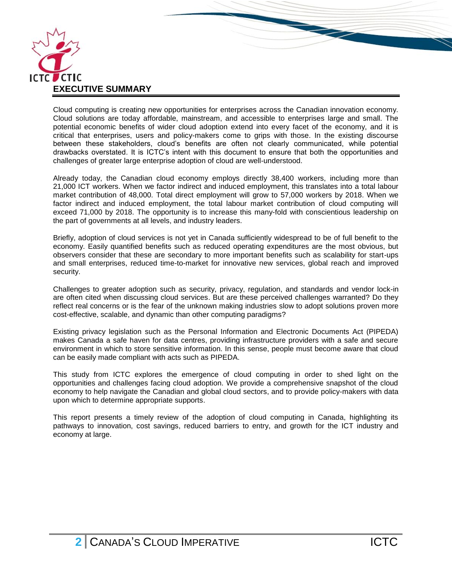

<span id="page-2-0"></span>Cloud computing is creating new opportunities for enterprises across the Canadian innovation economy. Cloud solutions are today affordable, mainstream, and accessible to enterprises large and small. The potential economic benefits of wider cloud adoption extend into every facet of the economy, and it is critical that enterprises, users and policy-makers come to grips with those. In the existing discourse between these stakeholders, cloud's benefits are often not clearly communicated, while potential drawbacks overstated. It is ICTC's intent with this document to ensure that both the opportunities and challenges of greater large enterprise adoption of cloud are well-understood.

Already today, the Canadian cloud economy employs directly 38,400 workers, including more than 21,000 ICT workers. When we factor indirect and induced employment, this translates into a total labour market contribution of 48,000. Total direct employment will grow to 57,000 workers by 2018. When we factor indirect and induced employment, the total labour market contribution of cloud computing will exceed 71,000 by 2018. The opportunity is to increase this many-fold with conscientious leadership on the part of governments at all levels, and industry leaders.

Briefly, adoption of cloud services is not yet in Canada sufficiently widespread to be of full benefit to the economy. Easily quantified benefits such as reduced operating expenditures are the most obvious, but observers consider that these are secondary to more important benefits such as scalability for start-ups and small enterprises, reduced time-to-market for innovative new services, global reach and improved security.

Challenges to greater adoption such as security, privacy, regulation, and standards and vendor lock-in are often cited when discussing cloud services. But are these perceived challenges warranted? Do they reflect real concerns or is the fear of the unknown making industries slow to adopt solutions proven more cost-effective, scalable, and dynamic than other computing paradigms?

Existing privacy legislation such as the Personal Information and Electronic Documents Act (PIPEDA) makes Canada a safe haven for data centres, providing infrastructure providers with a safe and secure environment in which to store sensitive information. In this sense, people must become aware that cloud can be easily made compliant with acts such as PIPEDA.

This study from ICTC explores the emergence of cloud computing in order to shed light on the opportunities and challenges facing cloud adoption. We provide a comprehensive snapshot of the cloud economy to help navigate the Canadian and global cloud sectors, and to provide policy-makers with data upon which to determine appropriate supports.

This report presents a timely review of the adoption of cloud computing in Canada, highlighting its pathways to innovation, cost savings, reduced barriers to entry, and growth for the ICT industry and economy at large.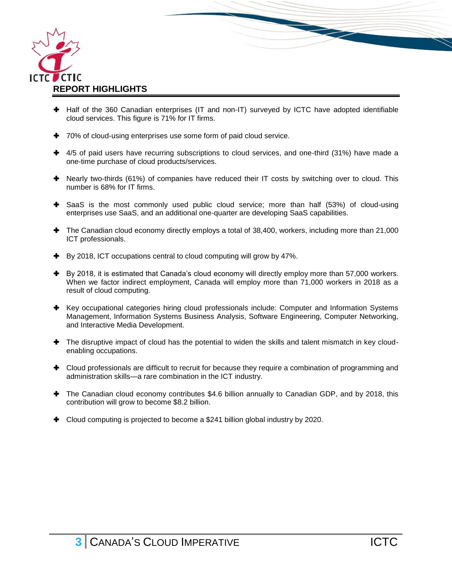

H Half of the 360 Canadian enterprises (IT and non-IT) surveyed by ICTC have adopted identifiable cloud services. This figure is 71% for IT firms.

- $+$  70% of cloud-using enterprises use some form of paid cloud service.
- + 4/5 of paid users have recurring subscriptions to cloud services, and one-third (31%) have made a one-time purchase of cloud products/services.
- Nearly two-thirds (61%) of companies have reduced their IT costs by switching over to cloud. This number is 68% for IT firms.
- SaaS is the most commonly used public cloud service; more than half (53%) of cloud-using enterprises use SaaS, and an additional one-quarter are developing SaaS capabilities.
- The Canadian cloud economy directly employs a total of 38,400, workers, including more than 21,000 ICT professionals.
- By 2018, ICT occupations central to cloud computing will grow by 47%.
- By 2018, it is estimated that Canada's cloud economy will directly employ more than 57,000 workers. When we factor indirect employment, Canada will employ more than 71,000 workers in 2018 as a result of cloud computing.
- Key occupational categories hiring cloud professionals include: Computer and Information Systems Management, Information Systems Business Analysis, Software Engineering, Computer Networking, and Interactive Media Development.
- The disruptive impact of cloud has the potential to widen the skills and talent mismatch in key cloudenabling occupations.
- Cloud professionals are difficult to recruit for because they require a combination of programming and administration skills—a rare combination in the ICT industry.
- The Canadian cloud economy contributes \$4.6 billion annually to Canadian GDP, and by 2018, this contribution will grow to become \$8.2 billion.
- <span id="page-3-0"></span>Cloud computing is projected to become a \$241 billion global industry by 2020.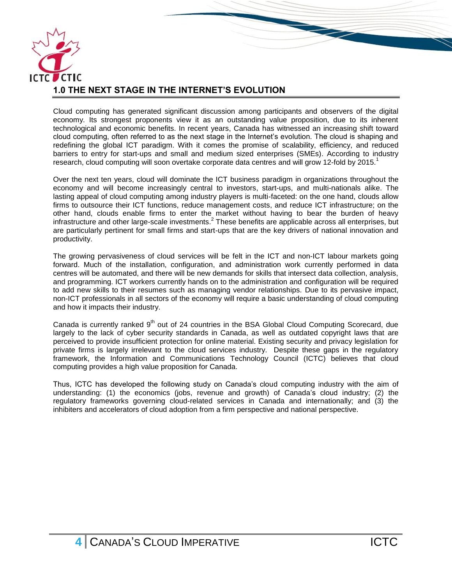

Cloud computing has generated significant discussion among participants and observers of the digital economy. Its strongest proponents view it as an outstanding value proposition, due to its inherent technological and economic benefits. In recent years, Canada has witnessed an increasing shift toward cloud computing, often referred to as the next stage in the Internet's evolution. The cloud is shaping and redefining the global ICT paradigm. With it comes the promise of scalability, efficiency, and reduced barriers to entry for start-ups and small and medium sized enterprises (SMEs). According to industry research, cloud computing will soon overtake corporate data centres and will grow 12-fold by 2015.<sup>1</sup>

Over the next ten years, cloud will dominate the ICT business paradigm in organizations throughout the economy and will become increasingly central to investors, start-ups, and multi-nationals alike. The lasting appeal of cloud computing among industry players is multi-faceted: on the one hand, clouds allow firms to outsource their ICT functions, reduce management costs, and reduce ICT infrastructure; on the other hand, clouds enable firms to enter the market without having to bear the burden of heavy infrastructure and other large-scale investments.<sup>2</sup> These benefits are applicable across all enterprises, but are particularly pertinent for small firms and start-ups that are the key drivers of national innovation and productivity.

The growing pervasiveness of cloud services will be felt in the ICT and non-ICT labour markets going forward. Much of the installation, configuration, and administration work currently performed in data centres will be automated, and there will be new demands for skills that intersect data collection, analysis, and programming. ICT workers currently hands on to the administration and configuration will be required to add new skills to their resumes such as managing vendor relationships. Due to its pervasive impact, non-ICT professionals in all sectors of the economy will require a basic understanding of cloud computing and how it impacts their industry.

Canada is currently ranked  $9<sup>th</sup>$  out of 24 countries in the BSA Global Cloud Computing Scorecard, due largely to the lack of cyber security standards in Canada, as well as outdated copyright laws that are perceived to provide insufficient protection for online material. Existing security and privacy legislation for private firms is largely irrelevant to the cloud services industry. Despite these gaps in the regulatory framework, the Information and Communications Technology Council (ICTC) believes that cloud computing provides a high value proposition for Canada.

Thus, ICTC has developed the following study on Canada's cloud computing industry with the aim of understanding: (1) the economics (jobs, revenue and growth) of Canada's cloud industry; (2) the regulatory frameworks governing cloud-related services in Canada and internationally; and (3) the inhibiters and accelerators of cloud adoption from a firm perspective and national perspective.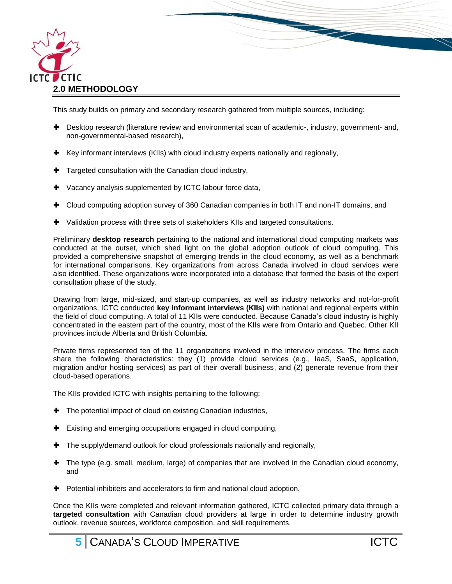

<span id="page-5-0"></span>This study builds on primary and secondary research gathered from multiple sources, including:

 Desktop research (literature review and environmental scan of academic-, industry, government- and, non-governmental-based research),

- $\blacktriangleright$  Key informant interviews (KIIs) with cloud industry experts nationally and regionally,
- **Targeted consultation with the Canadian cloud industry,**
- **+** Vacancy analysis supplemented by ICTC labour force data,
- Cloud computing adoption survey of 360 Canadian companies in both IT and non-IT domains, and
- Validation process with three sets of stakeholders KIIs and targeted consultations.

Preliminary **desktop research** pertaining to the national and international cloud computing markets was conducted at the outset, which shed light on the global adoption outlook of cloud computing. This provided a comprehensive snapshot of emerging trends in the cloud economy, as well as a benchmark for international comparisons. Key organizations from across Canada involved in cloud services were also identified. These organizations were incorporated into a database that formed the basis of the expert consultation phase of the study.

Drawing from large, mid-sized, and start-up companies, as well as industry networks and not-for-profit organizations, ICTC conducted **key informant interviews (KIIs)** with national and regional experts within the field of cloud computing. A total of 11 KIIs were conducted. Because Canada's cloud industry is highly concentrated in the eastern part of the country, most of the KIIs were from Ontario and Quebec. Other KII provinces include Alberta and British Columbia.

Private firms represented ten of the 11 organizations involved in the interview process. The firms each share the following characteristics: they (1) provide cloud services (e.g., IaaS, SaaS, application, migration and/or hosting services) as part of their overall business, and (2) generate revenue from their cloud-based operations.

The KIIs provided ICTC with insights pertaining to the following:

- The potential impact of cloud on existing Canadian industries,
- $\blacktriangleright$  Existing and emerging occupations engaged in cloud computing,
- $\blacktriangleright$  The supply/demand outlook for cloud professionals nationally and regionally,
- The type (e.g. small, medium, large) of companies that are involved in the Canadian cloud economy, and
- **+** Potential inhibiters and accelerators to firm and national cloud adoption.

Once the KIIs were completed and relevant information gathered, ICTC collected primary data through a **targeted consultation** with Canadian cloud providers at large in order to determine industry growth outlook, revenue sources, workforce composition, and skill requirements.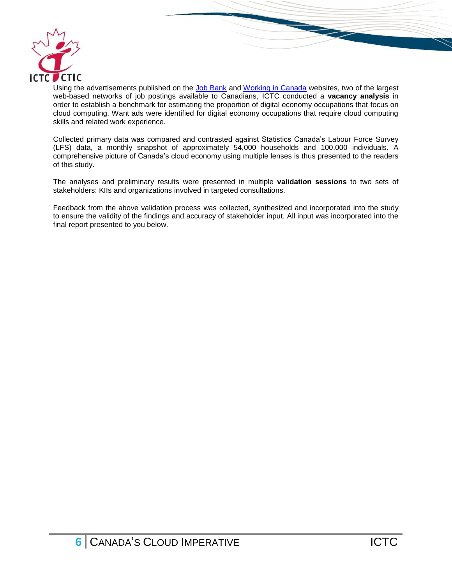

Using the advertisements published on the [Job Bank](http://www.jobbank.gc.ca/intro-eng.aspx) and [Working in Canada](http://www.workingincanada.gc.ca/home-eng.do?lang=eng) websites, two of the largest web-based networks of job postings available to Canadians, ICTC conducted a **vacancy analysis** in order to establish a benchmark for estimating the proportion of digital economy occupations that focus on cloud computing. Want ads were identified for digital economy occupations that require cloud computing skills and related work experience.

Collected primary data was compared and contrasted against Statistics Canada's Labour Force Survey (LFS) data, a monthly snapshot of approximately 54,000 households and 100,000 individuals. A comprehensive picture of Canada's cloud economy using multiple lenses is thus presented to the readers of this study.

The analyses and preliminary results were presented in multiple **validation sessions** to two sets of stakeholders: KIIs and organizations involved in targeted consultations.

Feedback from the above validation process was collected, synthesized and incorporated into the study to ensure the validity of the findings and accuracy of stakeholder input. All input was incorporated into the final report presented to you below.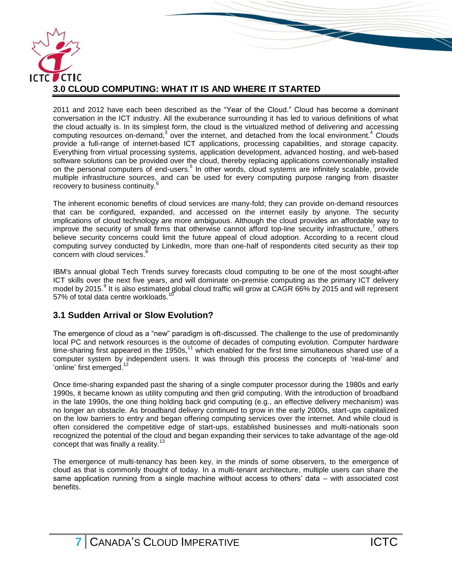

<span id="page-7-0"></span>2011 and 2012 have each been described as the "Year of the Cloud." Cloud has become a dominant conversation in the ICT industry. All the exuberance surrounding it has led to various definitions of what the cloud actually is. In its simplest form, the cloud is the virtualized method of delivering and accessing computing resources on-demand, $3$  over the internet, and detached from the local environment.<sup>4</sup> Clouds provide a full-range of internet-based ICT applications, processing capabilities, and storage capacity. Everything from virtual processing systems, application development, advanced hosting, and web-based software solutions can be provided over the cloud, thereby replacing applications conventionally installed on the personal computers of end-users.<sup>5</sup> In other words, cloud systems are infinitely scalable, provide multiple infrastructure sources, and can be used for every computing purpose ranging from disaster recovery to business continuity.<sup>6</sup>

The inherent economic benefits of cloud services are many-fold; they can provide on-demand resources that can be configured, expanded, and accessed on the internet easily by anyone. The security implications of cloud technology are more ambiguous. Although the cloud provides an affordable way to improve the security of small firms that otherwise cannot afford top-line security infrastructure,<sup>7</sup> others believe security concerns could limit the future appeal of cloud adoption. According to a recent cloud computing survey conducted by LinkedIn, more than one-half of respondents cited security as their top concern with cloud services.<sup>8</sup>

IBM's annual global Tech Trends survey forecasts cloud computing to be one of the most sought-after ICT skills over the next five years, and will dominate on-premise computing as the primary ICT delivery model by 2015.<sup>9</sup> It is also estimated global cloud traffic will grow at CAGR 66% by 2015 and will represent 57% of total data centre workloads.

# <span id="page-7-1"></span>**3.1 Sudden Arrival or Slow Evolution?**

The emergence of cloud as a "new" paradigm is oft-discussed. The challenge to the use of predominantly local PC and network resources is the outcome of decades of computing evolution. Computer hardware time-sharing first appeared in the 1950s,<sup>11</sup> which enabled for the first time simultaneous shared use of a computer system by independent users. It was through this process the concepts of 'real-time' and 'online' first emerged.<sup>1</sup>

Once time-sharing expanded past the sharing of a single computer processor during the 1980s and early 1990s, it became known as utility computing and then grid computing. With the introduction of broadband in the late 1990s, the one thing holding back grid computing (e.g., an effective delivery mechanism) was no longer an obstacle. As broadband delivery continued to grow in the early 2000s, start-ups capitalized on the low barriers to entry and began offering computing services over the internet. And while cloud is often considered the competitive edge of start-ups, established businesses and multi-nationals soon recognized the potential of the cloud and began expanding their services to take advantage of the age-old concept that was finally a reality.<sup>13</sup>

The emergence of multi-tenancy has been key, in the minds of some observers, to the emergence of cloud as that is commonly thought of today. In a multi-tenant architecture, multiple users can share the same application running from a single machine without access to others' data – with associated cost benefits.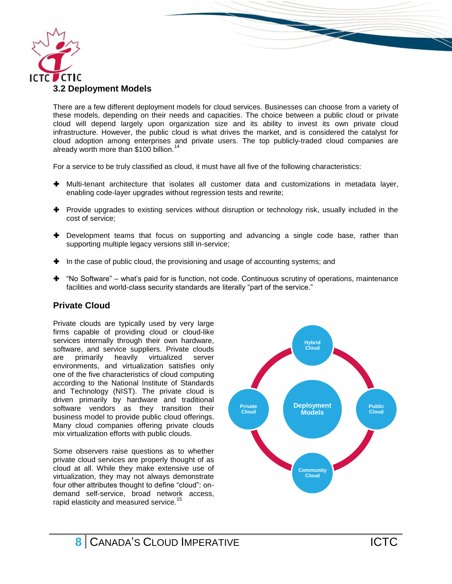

<span id="page-8-0"></span>There are a few different deployment models for cloud services. Businesses can choose from a variety of these models, depending on their needs and capacities. The choice between a public cloud or private cloud will depend largely upon organization size and its ability to invest its own private cloud infrastructure. However, the public cloud is what drives the market, and is considered the catalyst for cloud adoption among enterprises and private users. The top publicly-traded cloud companies are already worth more than \$100 billion.<sup>14</sup>

For a service to be truly classified as cloud, it must have all five of the following characteristics:

- Multi-tenant architecture that isolates all customer data and customizations in metadata layer, enabling code-layer upgrades without regression tests and rewrite;
- $\blacktriangleright$  Provide upgrades to existing services without disruption or technology risk, usually included in the cost of service;
- Development teams that focus on supporting and advancing a single code base, rather than supporting multiple legacy versions still in-service;
- $\blacksquare$  In the case of public cloud, the provisioning and usage of accounting systems; and
- $\blacktriangleright$  "No Software" what's paid for is function, not code. Continuous scrutiny of operations, maintenance facilities and world-class security standards are literally "part of the service."

#### **Private Cloud**

Private clouds are typically used by very large firms capable of providing cloud or cloud-like services internally through their own hardware, software, and service suppliers. Private clouds are primarily heavily virtualized server environments, and virtualization satisfies only one of the five characteristics of cloud computing according to the National Institute of Standards and Technology (NIST). The private cloud is driven primarily by hardware and traditional software vendors as they transition their business model to provide public cloud offerings. Many cloud companies offering private clouds mix virtualization efforts with public clouds.

Some observers raise questions as to whether private cloud services are properly thought of as cloud at all. While they make extensive use of virtualization, they may not always demonstrate four other attributes thought to define "cloud": ondemand self-service, broad network access, rapid elasticity and measured service.<sup>15</sup>

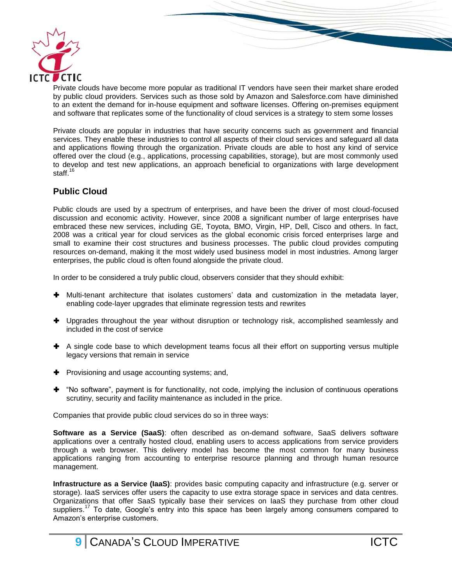

Private clouds have become more popular as traditional IT vendors have seen their market share eroded by public cloud providers. Services such as those sold by Amazon and Salesforce.com have diminished to an extent the demand for in-house equipment and software licenses. Offering on-premises equipment and software that replicates some of the functionality of cloud services is a strategy to stem some losses

Private clouds are popular in industries that have security concerns such as government and financial services. They enable these industries to control all aspects of their cloud services and safeguard all data and applications flowing through the organization. Private clouds are able to host any kind of service offered over the cloud (e.g., applications, processing capabilities, storage), but are most commonly used to develop and test new applications, an approach beneficial to organizations with large development staff.<sup>16</sup>

#### **Public Cloud**

Public clouds are used by a spectrum of enterprises, and have been the driver of most cloud-focused discussion and economic activity. However, since 2008 a significant number of large enterprises have embraced these new services, including GE, Toyota, BMO, Virgin, HP, Dell, Cisco and others. In fact, 2008 was a critical year for cloud services as the global economic crisis forced enterprises large and small to examine their cost structures and business processes. The public cloud provides computing resources on-demand, making it the most widely used business model in most industries. Among larger enterprises, the public cloud is often found alongside the private cloud.

In order to be considered a truly public cloud, observers consider that they should exhibit:

- Multi-tenant architecture that isolates customers' data and customization in the metadata layer, enabling code-layer upgrades that eliminate regression tests and rewrites
- **+** Upgrades throughout the year without disruption or technology risk, accomplished seamlessly and included in the cost of service
- A single code base to which development teams focus all their effort on supporting versus multiple legacy versions that remain in service
- **+** Provisioning and usage accounting systems; and,
- "No software", payment is for functionality, not code, implying the inclusion of continuous operations scrutiny, security and facility maintenance as included in the price.

Companies that provide public cloud services do so in three ways:

**Software as a Service (SaaS)**: often described as on-demand software, SaaS delivers software applications over a centrally hosted cloud, enabling users to access applications from service providers through a web browser. This delivery model has become the most common for many business applications ranging from accounting to enterprise resource planning and through human resource management.

**Infrastructure as a Service (IaaS)**: provides basic computing capacity and infrastructure (e.g. server or storage). IaaS services offer users the capacity to use extra storage space in services and data centres. Organizations that offer SaaS typically base their services on IaaS they purchase from other cloud suppliers.<sup>17</sup> To date, Google's entry into this space has been largely among consumers compared to Amazon's enterprise customers.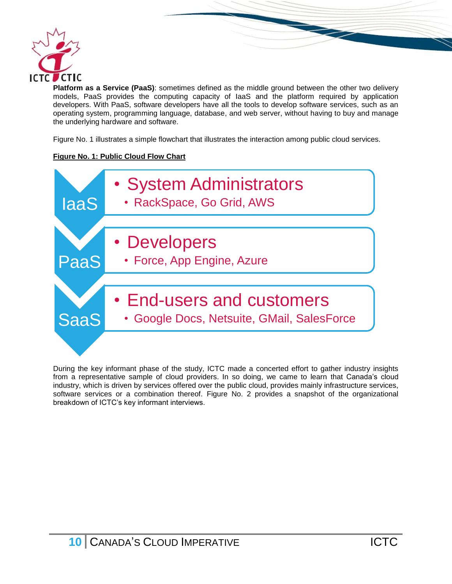

**Platform as a Service (PaaS)**: sometimes defined as the middle ground between the other two delivery models, PaaS provides the computing capacity of IaaS and the platform required by application developers. With PaaS, software developers have all the tools to develop software services, such as an operating system, programming language, database, and web server, without having to buy and manage the underlying hardware and software.

Figure No. 1 illustrates a simple flowchart that illustrates the interaction among public cloud services.

#### **Figure No. 1: Public Cloud Flow Chart**



During the key informant phase of the study, ICTC made a concerted effort to gather industry insights from a representative sample of cloud providers. In so doing, we came to learn that Canada's cloud industry, which is driven by services offered over the public cloud, provides mainly infrastructure services, software services or a combination thereof. Figure No. 2 provides a snapshot of the organizational breakdown of ICTC's key informant interviews.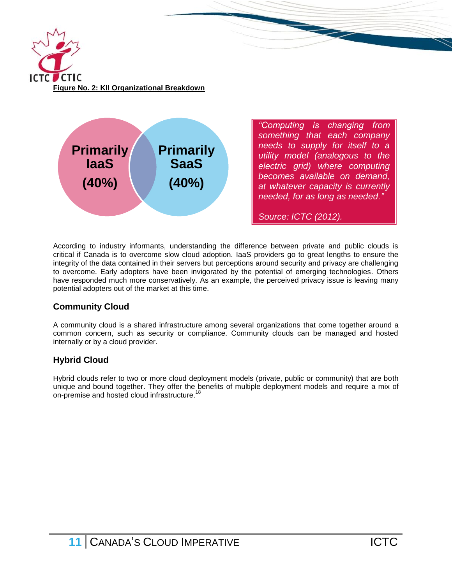



*"Computing is changing from something that each company needs to supply for itself to a utility model (analogous to the electric grid) where computing becomes available on demand, at whatever capacity is currently needed, for as long as needed."*

*Source: ICTC (2012).*

According to industry informants, understanding the difference between private and public clouds is critical if Canada is to overcome slow cloud adoption. IaaS providers go to great lengths to ensure the integrity of the data contained in their servers but perceptions around security and privacy are challenging to overcome. Early adopters have been invigorated by the potential of emerging technologies. Others have responded much more conservatively. As an example, the perceived privacy issue is leaving many potential adopters out of the market at this time.

# **Community Cloud**

A community cloud is a shared infrastructure among several organizations that come together around a common concern, such as security or compliance. Community clouds can be managed and hosted internally or by a cloud provider.

# **Hybrid Cloud**

Hybrid clouds refer to two or more cloud deployment models (private, public or community) that are both unique and bound together. They offer the benefits of multiple deployment models and require a mix of on-premise and hosted cloud infrastructure.<sup>18</sup>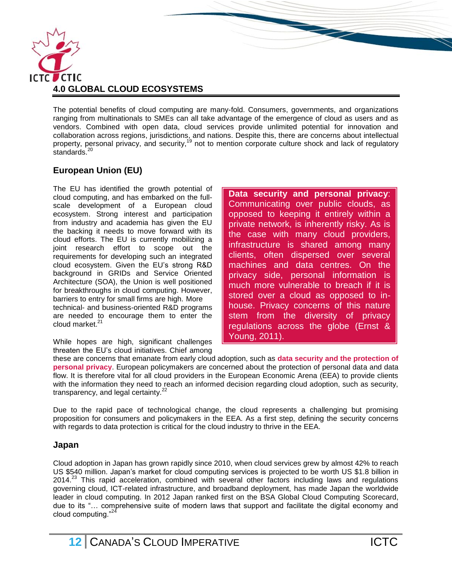

<span id="page-12-0"></span>The potential benefits of cloud computing are many-fold. Consumers, governments, and organizations ranging from multinationals to SMEs can all take advantage of the emergence of cloud as users and as vendors. Combined with open data, cloud services provide unlimited potential for innovation and collaboration across regions, jurisdictions, and nations. Despite this, there are concerns about intellectual property, personal privacy, and security,<sup>19</sup> not to mention corporate culture shock and lack of regulatory .<br>standards.<sup>20</sup>

# **European Union (EU)**

The EU has identified the growth potential of cloud computing, and has embarked on the fullscale development of a European cloud ecosystem. Strong interest and participation from industry and academia has given the EU the backing it needs to move forward with its cloud efforts. The EU is currently mobilizing a joint research effort to scope out the requirements for developing such an integrated cloud ecosystem. Given the EU's strong R&D background in GRIDs and Service Oriented Architecture (SOA), the Union is well positioned for breakthroughs in cloud computing. However, barriers to entry for small firms are high. More technical- and business-oriented R&D programs are needed to encourage them to enter the cloud market. 21

While hopes are high, significant challenges threaten the EU's cloud initiatives. Chief among **Data security and personal privacy**: Communicating over public clouds, as opposed to keeping it entirely within a private network, is inherently risky. As is the case with many cloud providers, infrastructure is shared among many clients, often dispersed over several machines and data centres. On the privacy side, personal information is much more vulnerable to breach if it is stored over a cloud as opposed to inhouse. Privacy concerns of this nature stem from the diversity of privacy regulations across the globe (Ernst & Young, 2011).

these are concerns that emanate from early cloud adoption, such as **data security and the protection of personal privacy**. European policymakers are concerned about the protection of personal data and data flow. It is therefore vital for all cloud providers in the European Economic Arena (EEA) to provide clients with the information they need to reach an informed decision regarding cloud adoption, such as security, transparency, and legal certainty. $22$ 

Due to the rapid pace of technological change, the cloud represents a challenging but promising proposition for consumers and policymakers in the EEA. As a first step, defining the security concerns with regards to data protection is critical for the cloud industry to thrive in the EEA.

#### **Japan**

Cloud adoption in Japan has grown rapidly since 2010, when cloud services grew by almost 42% to reach US \$540 million. Japan's market for cloud computing services is projected to be worth US \$1.8 billion in  $2014<sup>23</sup>$  This rapid acceleration, combined with several other factors including laws and regulations governing cloud, ICT-related infrastructure, and broadband deployment, has made Japan the worldwide leader in cloud computing. In 2012 Japan ranked first on the BSA Global Cloud Computing Scorecard, due to its "… comprehensive suite of modern laws that support and facilitate the digital economy and cloud computing."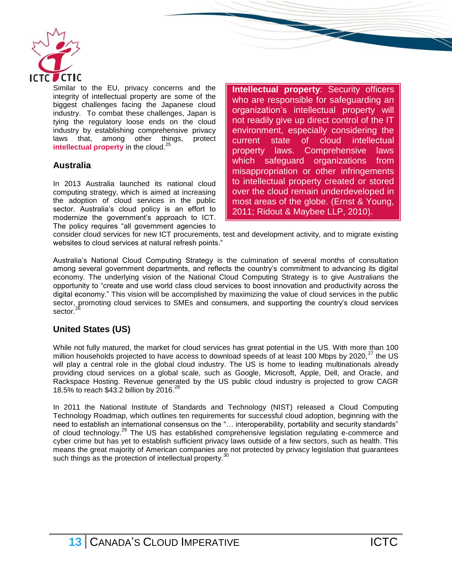

Similar to the EU, privacy concerns and the integrity of intellectual property are some of the biggest challenges facing the Japanese cloud industry. To combat these challenges, Japan is tying the regulatory loose ends on the cloud industry by establishing comprehensive privacy laws that, among other things, protect **intellectual property** in the cloud.<sup>25</sup>

# **Australia**

In 2013 Australia launched its national cloud computing strategy, which is aimed at increasing the adoption of cloud services in the public sector. Australia's cloud policy is an effort to modernize the government's approach to ICT. The policy requires "all government agencies to **Intellectual property**: Security officers who are responsible for safeguarding an organization's intellectual property will not readily give up direct control of the IT environment, especially considering the current state of cloud intellectual property laws. Comprehensive laws which safeguard organizations from misappropriation or other infringements to intellectual property created or stored over the cloud remain underdeveloped in most areas of the globe. (Ernst & Young, 2011; Ridout & Maybee LLP, 2010).

consider cloud services for new ICT procurements, test and development activity, and to migrate existing websites to cloud services at natural refresh points."

Australia's National Cloud Computing Strategy is the culmination of several months of consultation among several government departments, and reflects the country's commitment to advancing its digital economy. The underlying vision of the National Cloud Computing Strategy is to give Australians the opportunity to "create and use world class cloud services to boost innovation and productivity across the digital economy." This vision will be accomplished by maximizing the value of cloud services in the public sector, promoting cloud services to SMEs and consumers, and supporting the country's cloud services sector.<sup>26</sup>

#### **United States (US)**

While not fully matured, the market for cloud services has great potential in the US. With more than 100 million households projected to have access to download speeds of at least 100 Mbps by 2020, $^{27}$  the US will play a central role in the global cloud industry. The US is home to leading multinationals already providing cloud services on a global scale, such as Google, Microsoft, Apple, Dell, and Oracle, and Rackspace Hosting. Revenue generated by the US public cloud industry is projected to grow CAGR 18.5% to reach \$43.2 billion by 2016.<sup>28</sup>

In 2011 the National Institute of Standards and Technology (NIST) released a Cloud Computing Technology Roadmap, which outlines ten requirements for successful cloud adoption, beginning with the need to establish an international consensus on the "… interoperability, portability and security standards" of cloud technology.<sup>29</sup> The US has established comprehensive legislation regulating e-commerce and cyber crime but has yet to establish sufficient privacy laws outside of a few sectors, such as health. This means the great majority of American companies are not protected by privacy legislation that guarantees such things as the protection of intellectual property.<sup>3</sup>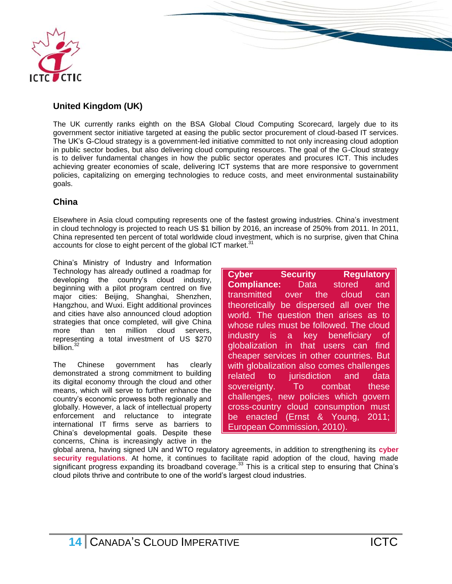

# **United Kingdom (UK)**

The UK currently ranks eighth on the BSA Global Cloud Computing Scorecard, largely due to its government sector initiative targeted at easing the public sector procurement of cloud-based IT services. The UK's G-Cloud strategy is a government-led initiative committed to not only increasing cloud adoption in public sector bodies, but also delivering cloud computing resources. The goal of the G-Cloud strategy is to deliver fundamental changes in how the public sector operates and procures ICT. This includes achieving greater economies of scale, delivering ICT systems that are more responsive to government policies, capitalizing on emerging technologies to reduce costs, and meet environmental sustainability goals.

#### **China**

Elsewhere in Asia cloud computing represents one of the fastest growing industries. China's investment in cloud technology is projected to reach US \$1 billion by 2016, an increase of 250% from 2011. In 2011, China represented ten percent of total worldwide cloud investment, which is no surprise, given that China accounts for close to eight percent of the global ICT market.<sup>31</sup>

China's Ministry of Industry and Information Technology has already outlined a roadmap for developing the country's cloud industry, beginning with a pilot program centred on five major cities: Beijing, Shanghai, Shenzhen, Hangzhou, and Wuxi. Eight additional provinces and cities have also announced cloud adoption strategies that once completed, will give China more than ten million cloud servers. representing a total investment of US \$270 billion.<sup>32</sup>

The Chinese government has clearly demonstrated a strong commitment to building its digital economy through the cloud and other means, which will serve to further enhance the country's economic prowess both regionally and globally. However, a lack of intellectual property enforcement and reluctance to integrate international IT firms serve as barriers to China's developmental goals. Despite these concerns, China is increasingly active in the

**Cyber Security Regulatory Compliance:** Data stored and transmitted over the cloud can theoretically be dispersed all over the world. The question then arises as to whose rules must be followed. The cloud industry is a key beneficiary of globalization in that users can find cheaper services in other countries. But with globalization also comes challenges related to jurisdiction and data sovereignty. To combat these challenges, new policies which govern cross-country cloud consumption must be enacted (Ernst & Young, 2011; European Commission, 2010).

<span id="page-14-0"></span>global arena, having signed UN and WTO regulatory agreements, in addition to strengthening its **cyber security regulations**. At home, it continues to facilitate rapid adoption of the cloud, having made significant progress expanding its broadband coverage.<sup>33</sup> This is a critical step to ensuring that China's cloud pilots thrive and contribute to one of the world's largest cloud industries.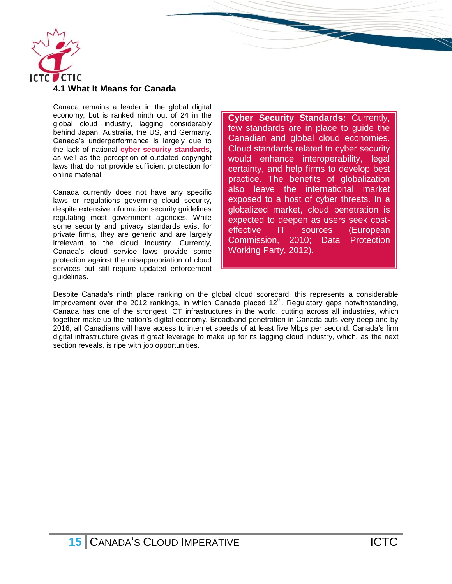

Canada remains a leader in the global digital economy, but is ranked ninth out of 24 in the global cloud industry, lagging considerably behind Japan, Australia, the US, and Germany. Canada's underperformance is largely due to the lack of national **cyber security standards**, as well as the perception of outdated copyright laws that do not provide sufficient protection for online material.

Canada currently does not have any specific laws or regulations governing cloud security, despite extensive information security guidelines regulating most government agencies. While some security and privacy standards exist for private firms, they are generic and are largely irrelevant to the cloud industry. Currently, Canada's cloud service laws provide some protection against the misappropriation of cloud services but still require updated enforcement guidelines.

**Cyber Security Standards:** Currently, few standards are in place to guide the Canadian and global cloud economies. Cloud standards related to cyber security would enhance interoperability, legal certainty, and help firms to develop best practice. The benefits of globalization also leave the international market exposed to a host of cyber threats. In a globalized market, cloud penetration is expected to deepen as users seek costeffective IT sources (European Commission, 2010; Data Protection Working Party, 2012).

<span id="page-15-0"></span>Despite Canada's ninth place ranking on the global cloud scorecard, this represents a considerable improvement over the 2012 rankings, in which Canada placed 12<sup>th</sup>. Regulatory gaps notwithstanding, Canada has one of the strongest ICT infrastructures in the world, cutting across all industries, which together make up the nation's digital economy. Broadband penetration in Canada cuts very deep and by 2016, all Canadians will have access to internet speeds of at least five Mbps per second. Canada's firm digital infrastructure gives it great leverage to make up for its lagging cloud industry, which, as the next section reveals, is ripe with job opportunities.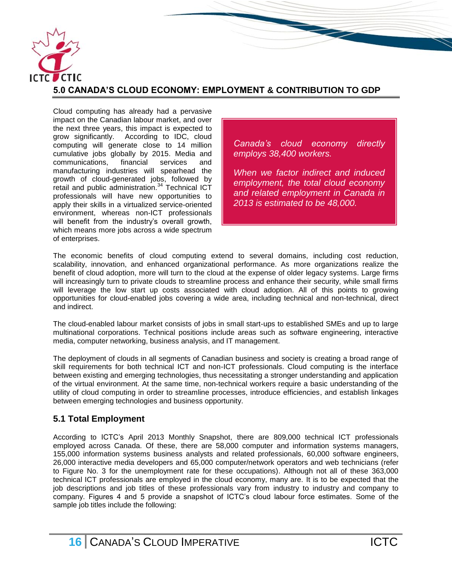

# **5.0 CANADA'S CLOUD ECONOMY: EMPLOYMENT & CONTRIBUTION TO GDP**

Cloud computing has already had a pervasive impact on the Canadian labour market, and over the next three years, this impact is expected to grow significantly. According to IDC, cloud computing will generate close to 14 million cumulative jobs globally by 2015. Media and communications, financial services and manufacturing industries will spearhead the growth of cloud-generated jobs, followed by retail and public administration.<sup>34</sup> Technical ICT professionals will have new opportunities to apply their skills in a virtualized service-oriented environment, whereas non-ICT professionals will benefit from the industry's overall growth, which means more jobs across a wide spectrum of enterprises.

*Canada's cloud economy directly employs 38,400 workers.* 

*When we factor indirect and induced employment, the total cloud economy and related employment in Canada in 2013 is estimated to be 48,000.*

The economic benefits of cloud computing extend to several domains, including cost reduction, scalability, innovation, and enhanced organizational performance. As more organizations realize the benefit of cloud adoption, more will turn to the cloud at the expense of older legacy systems. Large firms will increasingly turn to private clouds to streamline process and enhance their security, while small firms will leverage the low start up costs associated with cloud adoption. All of this points to growing opportunities for cloud-enabled jobs covering a wide area, including technical and non-technical, direct and indirect.

The cloud-enabled labour market consists of jobs in small start-ups to established SMEs and up to large multinational corporations. Technical positions include areas such as software engineering, interactive media, computer networking, business analysis, and IT management.

The deployment of clouds in all segments of Canadian business and society is creating a broad range of skill requirements for both technical ICT and non-ICT professionals. Cloud computing is the interface between existing and emerging technologies, thus necessitating a stronger understanding and application of the virtual environment. At the same time, non-technical workers require a basic understanding of the utility of cloud computing in order to streamline processes, introduce efficiencies, and establish linkages between emerging technologies and business opportunity.

# <span id="page-16-0"></span>**5.1 Total Employment**

According to ICTC's April 2013 Monthly Snapshot, there are 809,000 technical ICT professionals employed across Canada. Of these, there are 58,000 computer and information systems managers, 155,000 information systems business analysts and related professionals, 60,000 software engineers, 26,000 interactive media developers and 65,000 computer/network operators and web technicians (refer to Figure No. 3 for the unemployment rate for these occupations). Although not all of these 363,000 technical ICT professionals are employed in the cloud economy, many are. It is to be expected that the job descriptions and job titles of these professionals vary from industry to industry and company to company. Figures 4 and 5 provide a snapshot of ICTC's cloud labour force estimates. Some of the sample job titles include the following: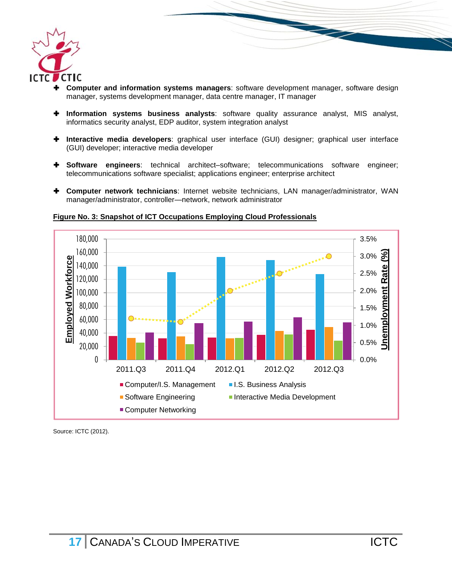

 **Computer and information systems managers**: software development manager, software design manager, systems development manager, data centre manager, IT manager

**REAL PROPERTY** 

- **Information systems business analysts**: software quality assurance analyst, MIS analyst, informatics security analyst, EDP auditor, system integration analyst
- **Interactive media developers**: graphical user interface (GUI) designer; graphical user interface (GUI) developer; interactive media developer
- **Software engineers**: technical architect–software; telecommunications software engineer; telecommunications software specialist; applications engineer; enterprise architect
- **Computer network technicians**: Internet website technicians, LAN manager/administrator, WAN manager/administrator, controller—network, network administrator



**Figure No. 3: Snapshot of ICT Occupations Employing Cloud Professionals**

Source: ICTC (2012).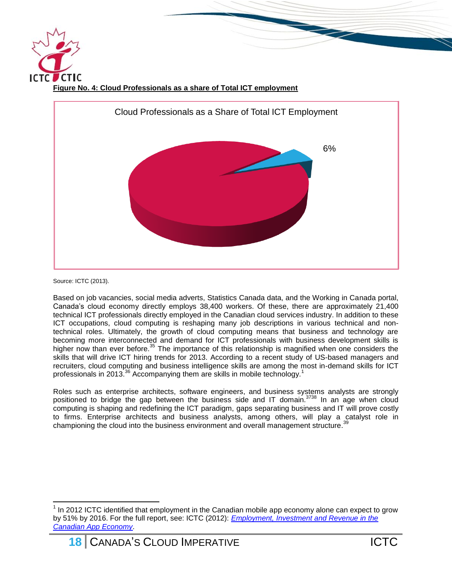



Source: ICTC (2013).

 $\overline{a}$ 

Based on job vacancies, social media adverts, Statistics Canada data, and the Working in Canada portal, Canada's cloud economy directly employs 38,400 workers. Of these, there are approximately 21,400 technical ICT professionals directly employed in the Canadian cloud services industry. In addition to these ICT occupations, cloud computing is reshaping many job descriptions in various technical and nontechnical roles. Ultimately, the growth of cloud computing means that business and technology are becoming more interconnected and demand for ICT professionals with business development skills is higher now than ever before.<sup>35</sup> The importance of this relationship is magnified when one considers the skills that will drive ICT hiring trends for 2013. According to a recent study of US-based managers and recruiters, cloud computing and business intelligence skills are among the most in-demand skills for ICT professionals in 2013.<sup>36</sup> Accompanying them are skills in mobile technology.<sup>1</sup>

Roles such as enterprise architects, software engineers, and business systems analysts are strongly positioned to bridge the gap between the business side and IT domain.<sup>3738</sup> In an age when cloud computing is shaping and redefining the ICT paradigm, gaps separating business and IT will prove costly to firms. Enterprise architects and business analysts, among others, will play a catalyst role in championing the cloud into the business environment and overall management structure.<sup>39</sup> championing the cloud into the business environment and overall management structure.

 $1$  In 2012 ICTC identified that employment in the Canadian mobile app economy alone can expect to grow by 51% by 2016. For the full report, see: ICTC (2012): *[Employment, Investment and Revenue in the](http://www.ictc-ctic.ca/wp-content/uploads/2012/10/ICTC_AppsEconomy_Oct2012.pdf)  [Canadian App Economy](http://www.ictc-ctic.ca/wp-content/uploads/2012/10/ICTC_AppsEconomy_Oct2012.pdf)*.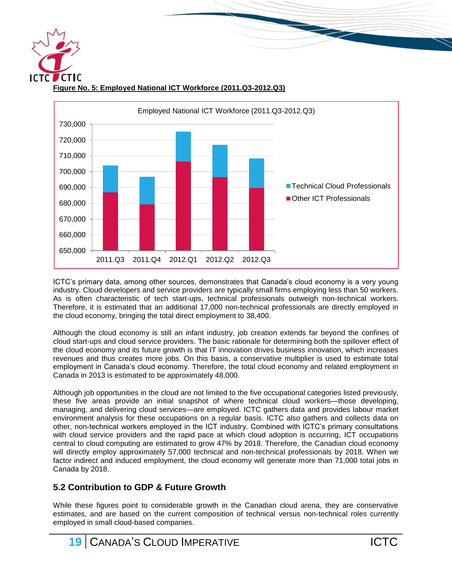**Figure No. 5: Employed National ICT Workforce (2011.Q3-2012.Q3)**



ICTC's primary data, among other sources, demonstrates that Canada's cloud economy is a very young industry. Cloud developers and service providers are typically small firms employing less than 50 workers. As is often characteristic of tech start-ups, technical professionals outweigh non-technical workers. Therefore, it is estimated that an additional 17,000 non-technical professionals are directly employed in the cloud economy, bringing the total direct employment to 38,400.

Although the cloud economy is still an infant industry, job creation extends far beyond the confines of cloud start-ups and cloud service providers. The basic rationale for determining both the spillover effect of the cloud economy and its future growth is that IT innovation drives business innovation, which increases revenues and thus creates more jobs. On this basis, a conservative multiplier is used to estimate total employment in Canada's cloud economy. Therefore, the total cloud economy and related employment in Canada in 2013 is estimated to be approximately 48,000.

Although job opportunities in the cloud are not limited to the five occupational categories listed previously, these five areas provide an initial snapshot of where technical cloud workers—those developing, managing, and delivering cloud services—are employed. ICTC gathers data and provides labour market environment analysis for these occupations on a regular basis. ICTC also gathers and collects data on other, non-technical workers employed in the ICT industry. Combined with ICTC's primary consultations with cloud service providers and the rapid pace at which cloud adoption is occurring, ICT occupations central to cloud computing are estimated to grow 47% by 2018. Therefore, the Canadian cloud economy will directly employ approximately 57,000 technical and non-technical professionals by 2018. When we factor indirect and induced employment, the cloud economy will generate more than 71,000 total jobs in Canada by 2018.

# <span id="page-19-0"></span>**5.2 Contribution to GDP & Future Growth**

While these figures point to considerable growth in the Canadian cloud arena, they are conservative estimates, and are based on the current composition of technical versus non-technical roles currently employed in small cloud-based companies.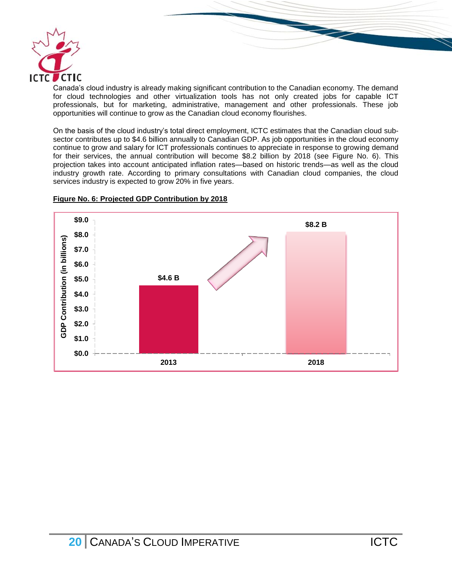

Canada's cloud industry is already making significant contribution to the Canadian economy. The demand for cloud technologies and other virtualization tools has not only created jobs for capable ICT professionals, but for marketing, administrative, management and other professionals. These job opportunities will continue to grow as the Canadian cloud economy flourishes.

On the basis of the cloud industry's total direct employment, ICTC estimates that the Canadian cloud subsector contributes up to \$4.6 billion annually to Canadian GDP. As job opportunities in the cloud economy continue to grow and salary for ICT professionals continues to appreciate in response to growing demand for their services, the annual contribution will become \$8.2 billion by 2018 (see Figure No. 6). This projection takes into account anticipated inflation rates—based on historic trends—as well as the cloud industry growth rate. According to primary consultations with Canadian cloud companies, the cloud services industry is expected to grow 20% in five years.



#### **Figure No. 6: Projected GDP Contribution by 2018**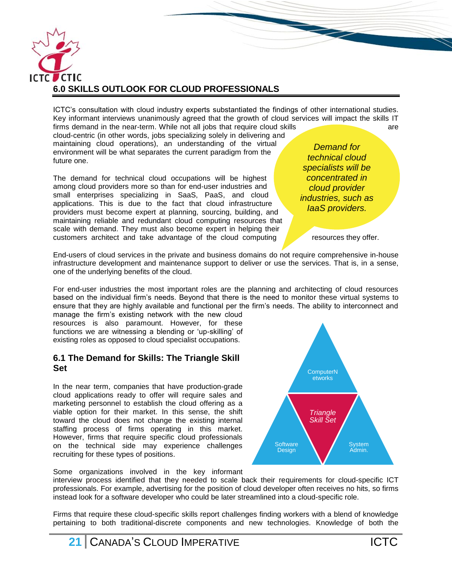

<span id="page-21-0"></span>ICTC's consultation with cloud industry experts substantiated the findings of other international studies. Key informant interviews unanimously agreed that the growth of cloud services will impact the skills IT firms demand in the near-term. While not all jobs that require cloud skills **the contract of the contract of the contract of the contract of the contract of the contract of the contract of the contract of the contract of t** 

cloud-centric (in other words, jobs specializing solely in delivering and maintaining cloud operations), an understanding of the virtual environment will be what separates the current paradigm from the future one.

The demand for technical cloud occupations will be highest among cloud providers more so than for end-user industries and small enterprises specializing in SaaS, PaaS, and cloud applications. This is due to the fact that cloud infrastructure providers must become expert at planning, sourcing, building, and maintaining reliable and redundant cloud computing resources that scale with demand. They must also become expert in helping their customers architect and take advantage of the cloud computing resources they offer.

*Demand for technical cloud specialists will be concentrated in cloud provider industries, such as IaaS providers.*

End-users of cloud services in the private and business domains do not require comprehensive in-house infrastructure development and maintenance support to deliver or use the services. That is, in a sense, one of the underlying benefits of the cloud.

For end-user industries the most important roles are the planning and architecting of cloud resources based on the individual firm's needs. Beyond that there is the need to monitor these virtual systems to ensure that they are highly available and functional per the firm's needs. The ability to interconnect and

manage the firm's existing network with the new cloud resources is also paramount. However, for these functions we are witnessing a blending or 'up-skilling' of existing roles as opposed to cloud specialist occupations.

#### <span id="page-21-1"></span>**6.1 The Demand for Skills: The Triangle Skill Set**

In the near term, companies that have production-grade cloud applications ready to offer will require sales and marketing personnel to establish the cloud offering as a viable option for their market. In this sense, the shift toward the cloud does not change the existing internal staffing process of firms operating in this market. However, firms that require specific cloud professionals on the technical side may experience challenges recruiting for these types of positions.



Some organizations involved in the key informant

interview process identified that they needed to scale back their requirements for cloud-specific ICT professionals. For example, advertising for the position of cloud developer often receives no hits, so firms instead look for a software developer who could be later streamlined into a cloud-specific role.

Firms that require these cloud-specific skills report challenges finding workers with a blend of knowledge pertaining to both traditional-discrete components and new technologies. Knowledge of both the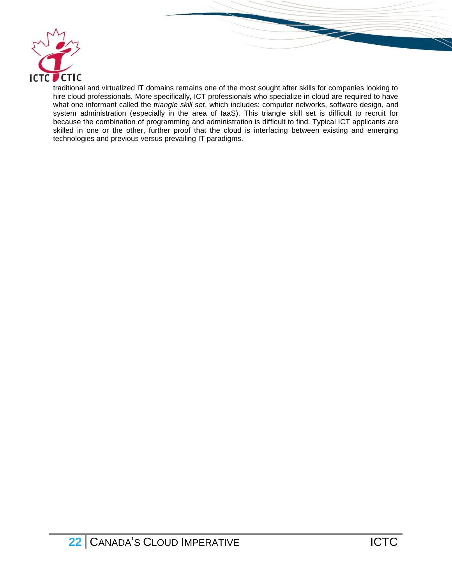

traditional and virtualized IT domains remains one of the most sought after skills for companies looking to hire cloud professionals. More specifically, ICT professionals who specialize in cloud are required to have what one informant called the *triangle skill set*, which includes: computer networks, software design, and system administration (especially in the area of IaaS). This triangle skill set is difficult to recruit for because the combination of programming and administration is difficult to find. Typical ICT applicants are skilled in one or the other, further proof that the cloud is interfacing between existing and emerging technologies and previous versus prevailing IT paradigms.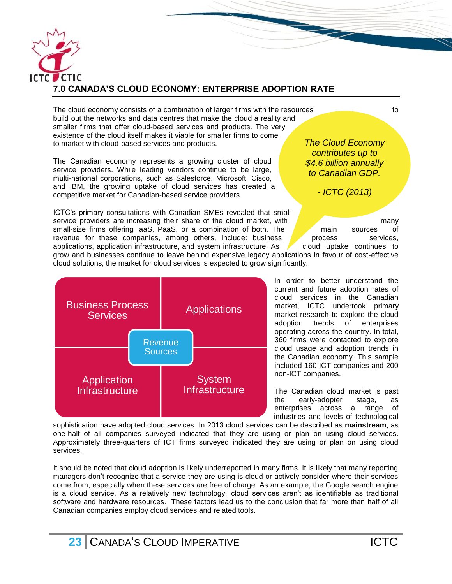

<span id="page-23-0"></span>The cloud economy consists of a combination of larger firms with the resources to to build out the networks and data centres that make the cloud a reality and smaller firms that offer cloud-based services and products. The very existence of the cloud itself makes it viable for smaller firms to come to market with cloud-based services and products.

The Canadian economy represents a growing cluster of cloud service providers. While leading vendors continue to be large, multi-national corporations, such as Salesforce, Microsoft, Cisco, and IBM, the growing uptake of cloud services has created a competitive market for Canadian-based service providers.

ICTC's primary consultations with Canadian SMEs revealed that small service providers are increasing their share of the cloud market, with  $\sqrt{m}$  many small-size firms offering IaaS, PaaS, or a combination of both. The main sources of revenue for these companies, among others, include: business process services, applications, application infrastructure, and system infrastructure. As cloud uptake continues to grow and businesses continue to leave behind expensive legacy applications in favour of cost-effective cloud solutions, the market for cloud services is expected to grow significantly.



*The Cloud Economy contributes up to \$4.6 billion annually to Canadian GDP.*

*- ICTC (2013)*

In order to better understand the current and future adoption rates of cloud services in the Canadian market, ICTC undertook primary market research to explore the cloud adoption trends of enterprises operating across the country. In total, 360 firms were contacted to explore cloud usage and adoption trends in the Canadian economy. This sample included 160 ICT companies and 200 non-ICT companies.

The Canadian cloud market is past the early-adopter stage, as enterprises across a range of industries and levels of technological

sophistication have adopted cloud services. In 2013 cloud services can be described as **mainstream**, as one-half of all companies surveyed indicated that they are using or plan on using cloud services. Approximately three-quarters of ICT firms surveyed indicated they are using or plan on using cloud services.

It should be noted that cloud adoption is likely underreported in many firms. It is likely that many reporting managers don't recognize that a service they are using is cloud or actively consider where their services come from, especially when these services are free of charge. As an example, the Google search engine is a cloud service. As a relatively new technology, cloud services aren't as identifiable as traditional software and hardware resources. These factors lead us to the conclusion that far more than half of all Canadian companies employ cloud services and related tools.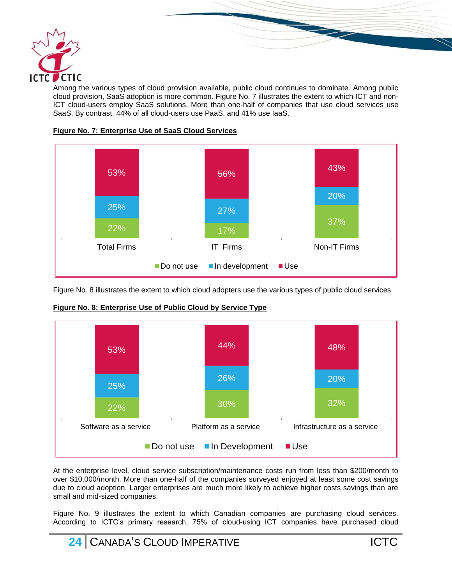

Among the various types of cloud provision available, public cloud continues to dominate. Among public cloud provision, SaaS adoption is more common. Figure No. 7 illustrates the extent to which ICT and non-ICT cloud-users employ SaaS solutions. More than one-half of companies that use cloud services use SaaS. By contrast, 44% of all cloud-users use PaaS, and 41% use IaaS.





Figure No. 8 illustrates the extent to which cloud adopters use the various types of public cloud services.



**Figure No. 8: Enterprise Use of Public Cloud by Service Type**

At the enterprise level, cloud service subscription/maintenance costs run from less than \$200/month to over \$10,000/month. More than one-half of the companies surveyed enjoyed at least some cost savings due to cloud adoption. Larger enterprises are much more likely to achieve higher costs savings than are small and mid-sized companies.

Figure No. 9 illustrates the extent to which Canadian companies are purchasing cloud services. According to ICTC's primary research, 75% of cloud-using ICT companies have purchased cloud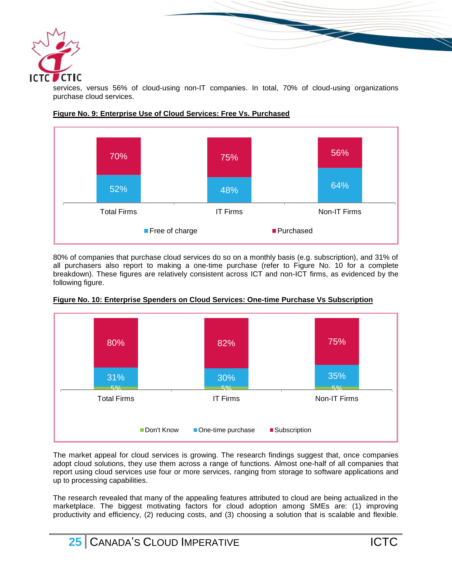

services, versus 56% of cloud-using non-IT companies. In total, 70% of cloud-using organizations purchase cloud services.



#### **Figure No. 9: Enterprise Use of Cloud Services: Free Vs. Purchased**

80% of companies that purchase cloud services do so on a monthly basis (e.g. subscription), and 31% of all purchasers also report to making a one-time purchase (refer to Figure No. 10 for a complete breakdown). These figures are relatively consistent across ICT and non-ICT firms, as evidenced by the following figure.



**Figure No. 10: Enterprise Spenders on Cloud Services: One-time Purchase Vs Subscription**

The market appeal for cloud services is growing. The research findings suggest that, once companies adopt cloud solutions, they use them across a range of functions. Almost one-half of all companies that report using cloud services use four or more services, ranging from storage to software applications and up to processing capabilities.

The research revealed that many of the appealing features attributed to cloud are being actualized in the marketplace. The biggest motivating factors for cloud adoption among SMEs are: (1) improving productivity and efficiency, (2) reducing costs, and (3) choosing a solution that is scalable and flexible.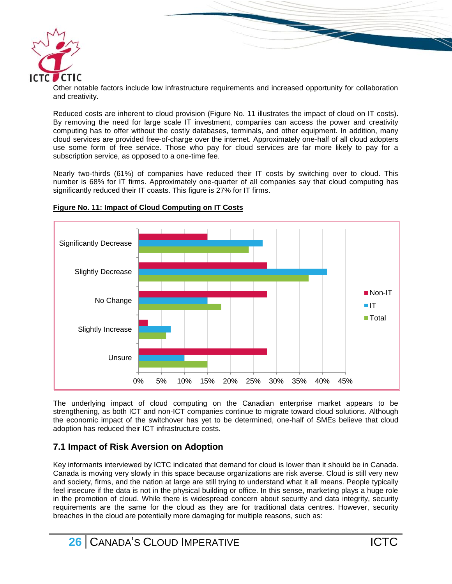

Other notable factors include low infrastructure requirements and increased opportunity for collaboration and creativity.

Reduced costs are inherent to cloud provision (Figure No. 11 illustrates the impact of cloud on IT costs). By removing the need for large scale IT investment, companies can access the power and creativity computing has to offer without the costly databases, terminals, and other equipment. In addition, many cloud services are provided free-of-charge over the internet. Approximately one-half of all cloud adopters use some form of free service. Those who pay for cloud services are far more likely to pay for a subscription service, as opposed to a one-time fee.

Nearly two-thirds (61%) of companies have reduced their IT costs by switching over to cloud. This number is 68% for IT firms. Approximately one-quarter of all companies say that cloud computing has significantly reduced their IT coasts. This figure is 27% for IT firms.



#### **Figure No. 11: Impact of Cloud Computing on IT Costs**

The underlying impact of cloud computing on the Canadian enterprise market appears to be strengthening, as both ICT and non-ICT companies continue to migrate toward cloud solutions. Although the economic impact of the switchover has yet to be determined, one-half of SMEs believe that cloud adoption has reduced their ICT infrastructure costs.

# <span id="page-26-0"></span>**7.1 Impact of Risk Aversion on Adoption**

Key informants interviewed by ICTC indicated that demand for cloud is lower than it should be in Canada. Canada is moving very slowly in this space because organizations are risk averse. Cloud is still very new and society, firms, and the nation at large are still trying to understand what it all means. People typically feel insecure if the data is not in the physical building or office. In this sense, marketing plays a huge role in the promotion of cloud. While there is widespread concern about security and data integrity, security requirements are the same for the cloud as they are for traditional data centres. However, security breaches in the cloud are potentially more damaging for multiple reasons, such as: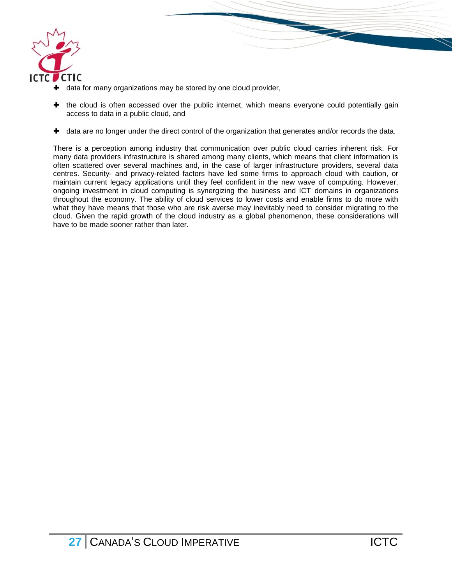

- **+** data for many organizations may be stored by one cloud provider,
- $\pm$  the cloud is often accessed over the public internet, which means everyone could potentially gain access to data in a public cloud, and

 $\blacktriangle$  data are no longer under the direct control of the organization that generates and/or records the data.

There is a perception among industry that communication over public cloud carries inherent risk. For many data providers infrastructure is shared among many clients, which means that client information is often scattered over several machines and, in the case of larger infrastructure providers, several data centres. Security- and privacy-related factors have led some firms to approach cloud with caution, or maintain current legacy applications until they feel confident in the new wave of computing. However, ongoing investment in cloud computing is synergizing the business and ICT domains in organizations throughout the economy. The ability of cloud services to lower costs and enable firms to do more with what they have means that those who are risk averse may inevitably need to consider migrating to the cloud. Given the rapid growth of the cloud industry as a global phenomenon, these considerations will have to be made sooner rather than later.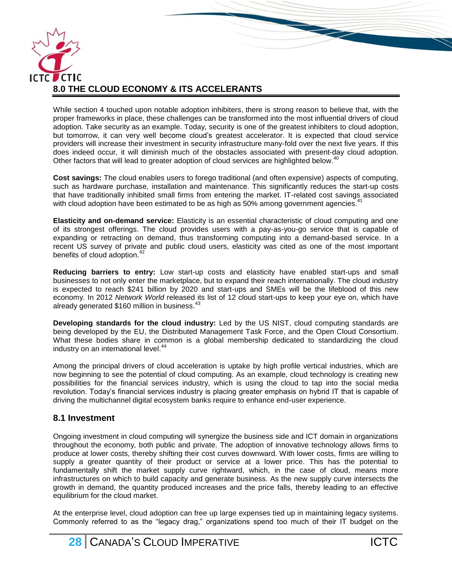

<span id="page-28-0"></span>While section 4 touched upon notable adoption inhibiters, there is strong reason to believe that, with the proper frameworks in place, these challenges can be transformed into the most influential drivers of cloud adoption. Take security as an example. Today, security is one of the greatest inhibiters to cloud adoption, but tomorrow, it can very well become cloud's greatest accelerator. It is expected that cloud service providers will increase their investment in security infrastructure many-fold over the next five years. If this does indeed occur, it will diminish much of the obstacles associated with present-day cloud adoption. Other factors that will lead to greater adoption of cloud services are highlighted below.<sup>40</sup>

**Cost savings:** The cloud enables users to forego traditional (and often expensive) aspects of computing, such as hardware purchase, installation and maintenance. This significantly reduces the start-up costs that have traditionally inhibited small firms from entering the market. IT-related cost savings associated with cloud adoption have been estimated to be as high as 50% among government agencies.<sup>41</sup>

**Elasticity and on-demand service:** Elasticity is an essential characteristic of cloud computing and one of its strongest offerings. The cloud provides users with a pay-as-you-go service that is capable of expanding or retracting on demand, thus transforming computing into a demand-based service. In a recent US survey of private and public cloud users, elasticity was cited as one of the most important benefits of cloud adoption.<sup>42</sup>

**Reducing barriers to entry:** Low start-up costs and elasticity have enabled start-ups and small businesses to not only enter the marketplace, but to expand their reach internationally. The cloud industry is expected to reach \$241 billion by 2020 and start-ups and SMEs will be the lifeblood of this new economy. In 2012 *Network World* released its list of 12 cloud start-ups to keep your eye on, which have already generated \$160 million in business.<sup>43</sup>

**Developing standards for the cloud industry:** Led by the US NIST, cloud computing standards are being developed by the EU, the Distributed Management Task Force, and the Open Cloud Consortium. What these bodies share in common is a global membership dedicated to standardizing the cloud industry on an international level.<sup>44</sup>

Among the principal drivers of cloud acceleration is uptake by high profile vertical industries, which are now beginning to see the potential of cloud computing. As an example, cloud technology is creating new possibilities for the financial services industry, which is using the cloud to tap into the social media revolution. Today's financial services industry is placing greater emphasis on hybrid IT that is capable of driving the multichannel digital ecosystem banks require to enhance end-user experience.

#### <span id="page-28-1"></span>**8.1 Investment**

Ongoing investment in cloud computing will synergize the business side and ICT domain in organizations throughout the economy, both public and private. The adoption of innovative technology allows firms to produce at lower costs, thereby shifting their cost curves downward. With lower costs, firms are willing to supply a greater quantity of their product or service at a lower price. This has the potential to fundamentally shift the market supply curve rightward, which, in the case of cloud, means more infrastructures on which to build capacity and generate business. As the new supply curve intersects the growth in demand, the quantity produced increases and the price falls, thereby leading to an effective equilibrium for the cloud market.

At the enterprise level, cloud adoption can free up large expenses tied up in maintaining legacy systems. Commonly referred to as the "legacy drag," organizations spend too much of their IT budget on the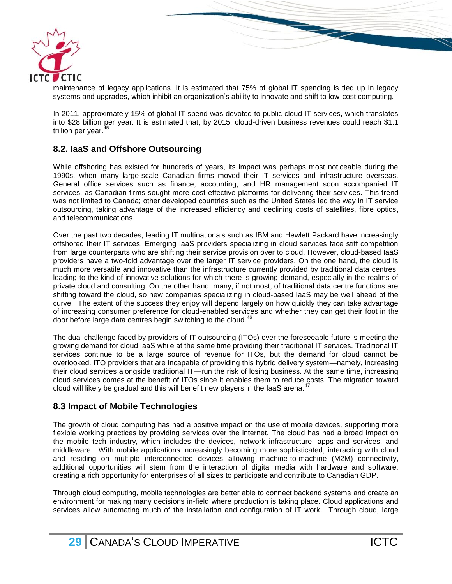

maintenance of legacy applications. It is estimated that 75% of global IT spending is tied up in legacy systems and upgrades, which inhibit an organization's ability to innovate and shift to low-cost computing.

In 2011, approximately 15% of global IT spend was devoted to public cloud IT services, which translates into \$28 billion per year. It is estimated that, by 2015, cloud-driven business revenues could reach \$1.1 trillion per vear.

#### <span id="page-29-0"></span>**8.2. IaaS and Offshore Outsourcing**

While offshoring has existed for hundreds of years, its impact was perhaps most noticeable during the 1990s, when many large-scale Canadian firms moved their IT services and infrastructure overseas. General office services such as finance, accounting, and HR management soon accompanied IT services, as Canadian firms sought more cost-effective platforms for delivering their services. This trend was not limited to Canada; other developed countries such as the United States led the way in IT service outsourcing, taking advantage of the increased efficiency and declining costs of satellites, fibre optics, and telecommunications.

Over the past two decades, leading IT multinationals such as IBM and Hewlett Packard have increasingly offshored their IT services. Emerging IaaS providers specializing in cloud services face stiff competition from large counterparts who are shifting their service provision over to cloud. However, cloud-based IaaS providers have a two-fold advantage over the larger IT service providers. On the one hand, the cloud is much more versatile and innovative than the infrastructure currently provided by traditional data centres, leading to the kind of innovative solutions for which there is growing demand, especially in the realms of private cloud and consulting. On the other hand, many, if not most, of traditional data centre functions are shifting toward the cloud, so new companies specializing in cloud-based IaaS may be well ahead of the curve. The extent of the success they enjoy will depend largely on how quickly they can take advantage of increasing consumer preference for cloud-enabled services and whether they can get their foot in the door before large data centres begin switching to the cloud.<sup>46</sup>

The dual challenge faced by providers of IT outsourcing (ITOs) over the foreseeable future is meeting the growing demand for cloud IaaS while at the same time providing their traditional IT services. Traditional IT services continue to be a large source of revenue for ITOs, but the demand for cloud cannot be overlooked. ITO providers that are incapable of providing this hybrid delivery system—namely, increasing their cloud services alongside traditional IT—run the risk of losing business. At the same time, increasing cloud services comes at the benefit of ITOs since it enables them to reduce costs. The migration toward cloud will likely be gradual and this will benefit new players in the laaS arena.<sup>47</sup>

#### <span id="page-29-1"></span>**8.3 Impact of Mobile Technologies**

The growth of cloud computing has had a positive impact on the use of mobile devices, supporting more flexible working practices by providing services over the internet. The cloud has had a broad impact on the mobile tech industry, which includes the devices, network infrastructure, apps and services, and middleware. With mobile applications increasingly becoming more sophisticated, interacting with cloud and residing on multiple interconnected devices allowing machine-to-machine (M2M) connectivity, additional opportunities will stem from the interaction of digital media with hardware and software, creating a rich opportunity for enterprises of all sizes to participate and contribute to Canadian GDP.

Through cloud computing, mobile technologies are better able to connect backend systems and create an environment for making many decisions in-field where production is taking place. Cloud applications and services allow automating much of the installation and configuration of IT work. Through cloud, large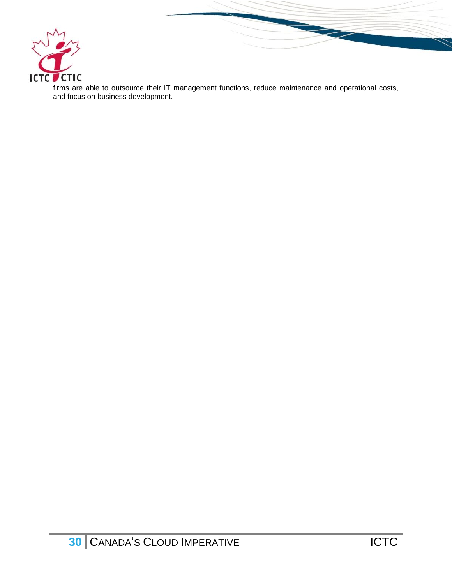

firms are able to outsource their IT management functions, reduce maintenance and operational costs, and focus on business development.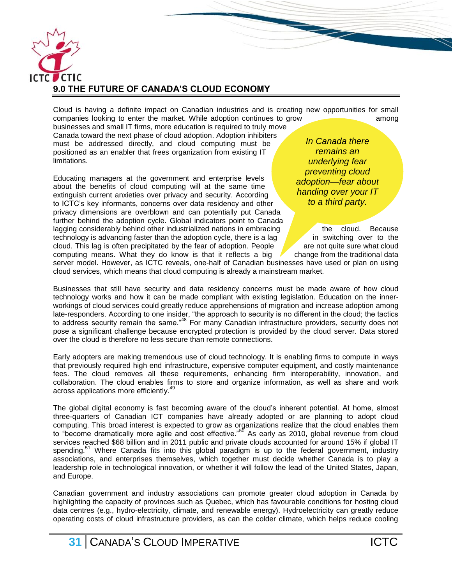

<span id="page-31-0"></span>Cloud is having a definite impact on Canadian industries and is creating new opportunities for small companies looking to enter the market. While adoption continues to grow among among

businesses and small IT firms, more education is required to truly move Canada toward the next phase of cloud adoption. Adoption inhibiters must be addressed directly, and cloud computing must be positioned as an enabler that frees organization from existing IT limitations.

Educating managers at the government and enterprise levels about the benefits of cloud computing will at the same time extinguish current anxieties over privacy and security. According to ICTC's key informants, concerns over data residency and other privacy dimensions are overblown and can potentially put Canada further behind the adoption cycle. Global indicators point to Canada  $l$  lagging considerably behind other industrialized nations in embracing  $\ell$  the cloud. Because technology is advancing faster than the adoption cycle, there is a lag  $\blacksquare$  in switching over to the cloud. This lag is often precipitated by the fear of adoption. People  $\alpha$  are not quite sure what cloud computing means. What they do know is that it reflects a big  $\blacksquare$  change from the traditional data

*In Canada there remains an underlying fear preventing cloud adoption—fear about handing over your IT to a third party.*

server model. However, as ICTC reveals, one-half of Canadian businesses have used or plan on using cloud services, which means that cloud computing is already a mainstream market.

Businesses that still have security and data residency concerns must be made aware of how cloud technology works and how it can be made compliant with existing legislation. Education on the innerworkings of cloud services could greatly reduce apprehensions of migration and increase adoption among late-responders. According to one insider, "the approach to security is no different in the cloud; the tactics to address security remain the same."<sup>48</sup> For many Canadian infrastructure providers, security does not pose a significant challenge because encrypted protection is provided by the cloud server. Data stored over the cloud is therefore no less secure than remote connections.

Early adopters are making tremendous use of cloud technology. It is enabling firms to compute in ways that previously required high end infrastructure, expensive computer equipment, and costly maintenance fees. The cloud removes all these requirements, enhancing firm interoperability, innovation, and collaboration. The cloud enables firms to store and organize information, as well as share and work across applications more efficiently.<sup>49</sup>

The global digital economy is fast becoming aware of the cloud's inherent potential. At home, almost three-quarters of Canadian ICT companies have already adopted or are planning to adopt cloud computing. This broad interest is expected to grow as organizations realize that the cloud enables them to "become dramatically more agile and cost effective."<sup>50</sup> As early as 2010, global revenue from cloud services reached \$68 billion and in 2011 public and private clouds accounted for around 15% if global IT spending.<sup>51</sup> Where Canada fits into this global paradigm is up to the federal government, industry associations, and enterprises themselves, which together must decide whether Canada is to play a leadership role in technological innovation, or whether it will follow the lead of the United States, Japan, and Europe.

Canadian government and industry associations can promote greater cloud adoption in Canada by highlighting the capacity of provinces such as Quebec, which has favourable conditions for hosting cloud data centres (e.g., hydro-electricity, climate, and renewable energy). Hydroelectricity can greatly reduce operating costs of cloud infrastructure providers, as can the colder climate, which helps reduce cooling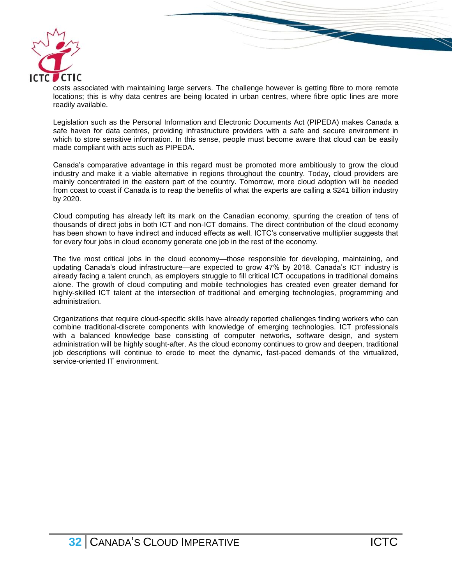

costs associated with maintaining large servers. The challenge however is getting fibre to more remote locations; this is why data centres are being located in urban centres, where fibre optic lines are more readily available.

Legislation such as the Personal Information and Electronic Documents Act (PIPEDA) makes Canada a safe haven for data centres, providing infrastructure providers with a safe and secure environment in which to store sensitive information. In this sense, people must become aware that cloud can be easily made compliant with acts such as PIPEDA.

Canada's comparative advantage in this regard must be promoted more ambitiously to grow the cloud industry and make it a viable alternative in regions throughout the country. Today, cloud providers are mainly concentrated in the eastern part of the country. Tomorrow, more cloud adoption will be needed from coast to coast if Canada is to reap the benefits of what the experts are calling a \$241 billion industry by 2020.

Cloud computing has already left its mark on the Canadian economy, spurring the creation of tens of thousands of direct jobs in both ICT and non-ICT domains. The direct contribution of the cloud economy has been shown to have indirect and induced effects as well. ICTC's conservative multiplier suggests that for every four jobs in cloud economy generate one job in the rest of the economy.

The five most critical jobs in the cloud economy—those responsible for developing, maintaining, and updating Canada's cloud infrastructure—are expected to grow 47% by 2018. Canada's ICT industry is already facing a talent crunch, as employers struggle to fill critical ICT occupations in traditional domains alone. The growth of cloud computing and mobile technologies has created even greater demand for highly-skilled ICT talent at the intersection of traditional and emerging technologies, programming and administration.

Organizations that require cloud-specific skills have already reported challenges finding workers who can combine traditional-discrete components with knowledge of emerging technologies. ICT professionals with a balanced knowledge base consisting of computer networks, software design, and system administration will be highly sought-after. As the cloud economy continues to grow and deepen, traditional job descriptions will continue to erode to meet the dynamic, fast-paced demands of the virtualized, service-oriented IT environment.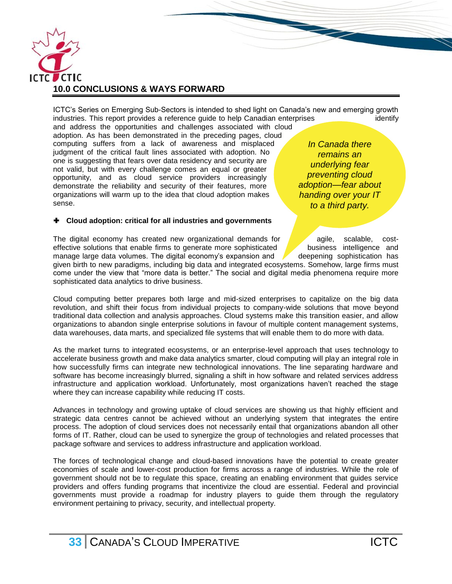

<span id="page-33-0"></span>ICTC's Series on Emerging Sub-Sectors is intended to shed light on Canada's new and emerging growth industries. This report provides a reference guide to help Canadian enterprises identify

and address the opportunities and challenges associated with cloud adoption. As has been demonstrated in the preceding pages, cloud computing suffers from a lack of awareness and misplaced judgment of the critical fault lines associated with adoption. No one is suggesting that fears over data residency and security are not valid, but with every challenge comes an equal or greater opportunity, and as cloud service providers increasingly demonstrate the reliability and security of their features, more organizations will warm up to the idea that cloud adoption makes sense.

#### **Cloud adoption: critical for all industries and governments**

*In Canada there remains an underlying fear preventing cloud adoption—fear about handing over your IT to a third party.*

**The Comment of the Comment of the Comment of The Comment of The Comment of The Comment of The Comment of The Comment of The Comment of The Comment of The Comment of The Comment of The Comment of The Comment of The Comment** 

The digital economy has created new organizational demands for  $\alpha$  agile, scalable, costeffective solutions that enable firms to generate more sophisticated business intelligence and manage large data volumes. The digital economy's expansion and  $\sqrt{\phantom{a}}$  deepening sophistication has given birth to new paradigms, including big data and integrated ecosystems. Somehow, large firms must come under the view that "more data is better." The social and digital media phenomena require more sophisticated data analytics to drive business.

Cloud computing better prepares both large and mid-sized enterprises to capitalize on the big data revolution, and shift their focus from individual projects to company-wide solutions that move beyond traditional data collection and analysis approaches. Cloud systems make this transition easier, and allow organizations to abandon single enterprise solutions in favour of multiple content management systems, data warehouses, data marts, and specialized file systems that will enable them to do more with data.

As the market turns to integrated ecosystems, or an enterprise-level approach that uses technology to accelerate business growth and make data analytics smarter, cloud computing will play an integral role in how successfully firms can integrate new technological innovations. The line separating hardware and software has become increasingly blurred, signaling a shift in how software and related services address infrastructure and application workload. Unfortunately, most organizations haven't reached the stage where they can increase capability while reducing IT costs.

Advances in technology and growing uptake of cloud services are showing us that highly efficient and strategic data centres cannot be achieved without an underlying system that integrates the entire process. The adoption of cloud services does not necessarily entail that organizations abandon all other forms of IT. Rather, cloud can be used to synergize the group of technologies and related processes that package software and services to address infrastructure and application workload.

The forces of technological change and cloud-based innovations have the potential to create greater economies of scale and lower-cost production for firms across a range of industries. While the role of government should not be to regulate this space, creating an enabling environment that guides service providers and offers funding programs that incentivize the cloud are essential. Federal and provincial governments must provide a roadmap for industry players to guide them through the regulatory environment pertaining to privacy, security, and intellectual property.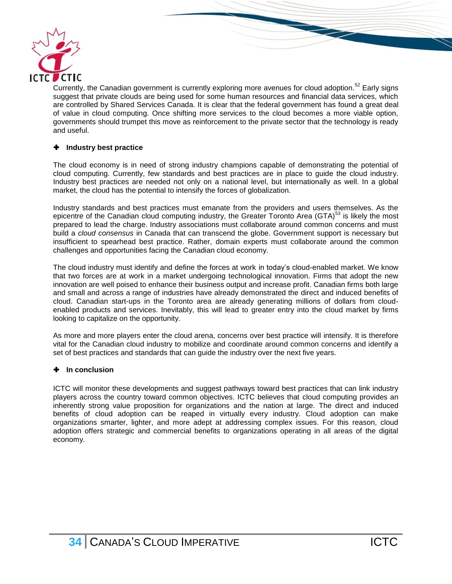

Currently, the Canadian government is currently exploring more avenues for cloud adoption.<sup>52</sup> Early signs suggest that private clouds are being used for some human resources and financial data services, which are controlled by Shared Services Canada. It is clear that the federal government has found a great deal of value in cloud computing. Once shifting more services to the cloud becomes a more viable option, governments should trumpet this move as reinforcement to the private sector that the technology is ready and useful.

#### **Industry best practice**

The cloud economy is in need of strong industry champions capable of demonstrating the potential of cloud computing. Currently, few standards and best practices are in place to guide the cloud industry. Industry best practices are needed not only on a national level, but internationally as well. In a global market, the cloud has the potential to intensify the forces of globalization.

Industry standards and best practices must emanate from the providers and users themselves. As the epicentre of the Canadian cloud computing industry, the Greater Toronto Area (GTA) $<sup>53</sup>$  is likely the most</sup> prepared to lead the charge. Industry associations must collaborate around common concerns and must build a *cloud consensus* in Canada that can transcend the globe. Government support is necessary but insufficient to spearhead best practice. Rather, domain experts must collaborate around the common challenges and opportunities facing the Canadian cloud economy.

The cloud industry must identify and define the forces at work in today's cloud-enabled market. We know that two forces are at work in a market undergoing technological innovation. Firms that adopt the new innovation are well poised to enhance their business output and increase profit. Canadian firms both large and small and across a range of industries have already demonstrated the direct and induced benefits of cloud. Canadian start-ups in the Toronto area are already generating millions of dollars from cloudenabled products and services. Inevitably, this will lead to greater entry into the cloud market by firms looking to capitalize on the opportunity.

As more and more players enter the cloud arena, concerns over best practice will intensify. It is therefore vital for the Canadian cloud industry to mobilize and coordinate around common concerns and identify a set of best practices and standards that can guide the industry over the next five years.

#### **In conclusion**

ICTC will monitor these developments and suggest pathways toward best practices that can link industry players across the country toward common objectives. ICTC believes that cloud computing provides an inherently strong value proposition for organizations and the nation at large. The direct and induced benefits of cloud adoption can be reaped in virtually every industry. Cloud adoption can make organizations smarter, lighter, and more adept at addressing complex issues. For this reason, cloud adoption offers strategic and commercial benefits to organizations operating in all areas of the digital economy.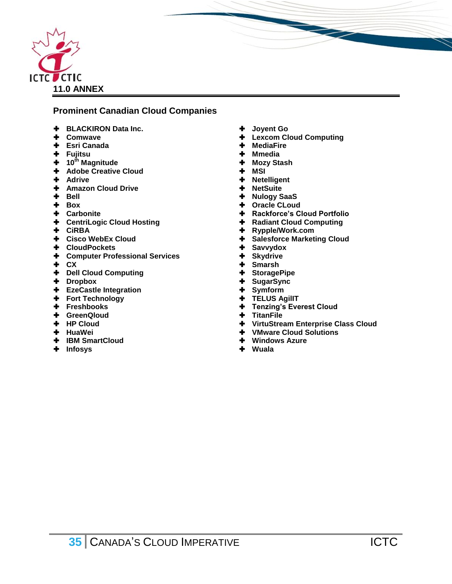

# **Prominent Canadian Cloud Companies**

- **BLACKIRON Data Inc.**
- **Comwave**
- **Esri Canada**
- **Fujitsu**
- **10th Magnitude**
- **Adobe Creative Cloud**
- **Adrive**
- **Amazon Cloud Drive**
- **+** Bell
- **+** Box
- **Carbonite**
- **CentriLogic Cloud Hosting**
- **CiRBA**
- **Cisco WebEx Cloud**
- **CloudPockets**
- **Computer Professional Services**
- **CX**
- **Dell Cloud Computing**
- **Dropbox**
- **EzeCastle Integration**
- **+** Fort Technology
- **Freshbooks**
- **GreenQloud**
- **HP Cloud**
- **HuaWei**
- **IBM SmartCloud**
- <span id="page-35-0"></span>**Infosys**
- **Joyent Go**
- **Lexcom Cloud Computing**

- **MediaFire**
- **Mmedia**
- **Mozy Stash**
- **MSI**
- **Netelligent**
- **NetSuite**
- **Nulogy SaaS**
- **Oracle CLoud**
- **Rackforce's Cloud Portfolio**
- **+** Radiant Cloud Computing
- **Rypple/Work.com**
- **+** Salesforce Marketing Cloud
- **Savvydox**
- **Skydrive**
- **Smarsh**
- **StoragePipe**
- **SugarSync**
- **Symform**
- **TELUS AgilIT**
- **Tenzing's Everest Cloud**
- **TitanFile**
- **VirtuStream Enterprise Class Cloud**
- **VMware Cloud Solutions**
- **Windows Azure**
- **Wuala**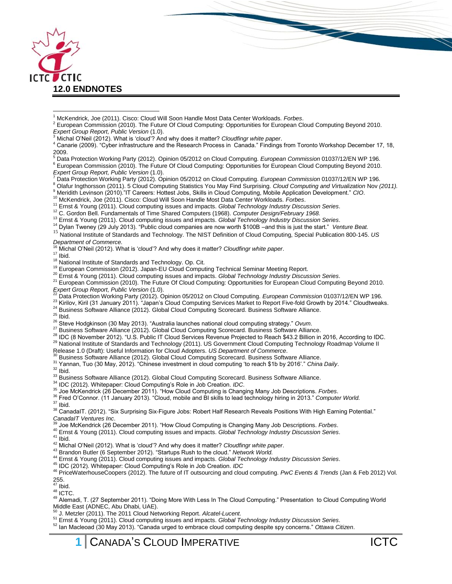

 <sup>1</sup> McKendrick, Joe (2011). Cisco: Cloud Will Soon Handle Most Data Center Workloads. *Forbes*.

<sup>4</sup> Canarie (2009). "Cyber infrastructure and the Research Process in Canada." Findings from Toronto Workshop December 17, 18, 2009.

- <sup>5</sup> Data Protection Working Party (2012). Opinion 05/2012 on Cloud Computing. *European Commission* 01037/12/EN WP 196.
- <sup>6</sup> European Commission (2010). The Future Of Cloud Computing: Opportunities for European Cloud Computing Beyond 2010.
- *Expert Group Report, Public Version* (1.0). <sup>7</sup> Data Protection Working Party (2012). Opinion 05/2012 on Cloud Computing. *European Commission* 01037/12/EN WP 196.
- <sup>8</sup> Olafur Ingthorsson (2011). 5 Cloud Computing Statistics You May Find Surprising. *Cloud Computing and Virtualization* Nov *(2011).*
- <sup>9</sup> Meridith Levinson (2010)."IT Careers: Hottest Jobs, Skills in Cloud Computing, Mobile Application Development." *CIO*.
- <sup>10</sup> McKendrick, Joe (2011). Cisco: Cloud Will Soon Handle Most Data Center Workloads. *Forbes*.
- <sup>11</sup> Ernst & Young (2011). Cloud computing issues and impacts. *Global Technology Industry Discussion Series*.
- <sup>12</sup> C. Gordon Bell. Fundamentals of Time Shared Computers (1968). *Computer Design/February 1968.*
- <sup>13</sup> Ernst & Young (2011). Cloud computing issues and impacts. *Global Technology Industry Discussion Series*.
- <sup>14</sup> Dylan Tweney (29 July 2013). "Public cloud companies are now worth \$100B –and this is just the start." Venture Beat.
- <sup>15</sup> National Institute of Standards and Technology. The NIST Definition of Cloud Computing, Special Publication 800-145. *US Department of Commerce.*
- <sup>16</sup> Michal O'Neil (2012). What is 'cloud'? And why does it matter? *Cloudfingr white paper*.
- $17$  Ibid.
- <sup>18</sup> National Institute of Standards and Technology. Op. Cit.
- <sup>19</sup> European Commission (2012). Japan-EU Cloud Computing Technical Seminar Meeting Report.
- <sup>20</sup> Ernst & Young (2011). Cloud computing issues and impacts. *Global Technology Industry Discussion Series*.
- $21$  European Commission (2010). The Future Of Cloud Computing: Opportunities for European Cloud Computing Beyond 2010. *Expert Group Report, Public Version* (1.0).
- <sup>22</sup> Data Protection Working Party (2012). Opinion 05/2012 on Cloud Computing. *European Commission* 01037/12/EN WP 196.
- $^{23}$  Kirilov, Kiril (31 January 2011). "Japan's Cloud Computing Services Market to Report Five-fold Growth by 2014." Cloudtweaks.
- 24 Business Software Alliance (2012). Global Cloud Computing Scorecard. Business Software Alliance.
- $25$  Ibid.
- <sup>26</sup> Steve Hodgkinson (30 May 2013). "Australia launches national cloud computing strategy." *Ovum*.
- $^{27}$  Business Software Alliance (2012). Global Cloud Computing Scorecard. Business Software Alliance.
- 28 IDC (8 November 2012). "U.S. Public IT Cloud Services Revenue Projected to Reach \$43.2 Billion in 2016, According to IDC.
- <sup>29</sup> National Institute of Standards and Technology (2011). US Government Cloud Computing Technology Roadmap Volume II
- Release 1.0 (Draft): Useful Information for Cloud Adopters. *US Department of Commerce*.
- <sup>30</sup> Business Software Alliance (2012). Global Cloud Computing Scorecard. Business Software Alliance.
- <sup>31</sup> Yannan, Tuo (30 May, 2012). "Chinese investment in cloud computing 'to reach \$1b by 2016'." *China Daily*.

 $32$  Ibid.

- 33 Business Software Alliance (2012). Global Cloud Computing Scorecard. Business Software Alliance.
- <sup>34</sup> IDC (2012). Whitepaper: Cloud Computing's Role in Job Creation. *IDC*.
- <sup>35</sup> Joe McKendrick (26 December 2011). "How Cloud Computing is Changing Many Job Descriptions. *Forbes*.
- <sup>36</sup> Fred O'Connor. (11 January 2013). "Cloud, mobile and BI skills to lead technology hiring in 2013." *Computer World.*
- $37$  Ibid.

<sup>38</sup> CanadaIT. (2012). "Six Surprising Six-Figure Jobs: Robert Half Research Reveals Positions With High Earning Potential." *CanadaIT Ventures Inc*.

- 
- <sup>39</sup> Joe McKendrick (26 December 2011). "How Cloud Computing is Changing Many Job Descriptions. *Forbes*.
- <sup>40</sup> Ernst & Young (2011). Cloud computing issues and impacts. *Global Technology Industry Discussion Series*.

 $41$  Ibid.

- <sup>42</sup> Michal O'Neil (2012). What is 'cloud'? And why does it matter? *Cloudfingr white paper*.
- <sup>43</sup> Brandon Butler (6 September 2012). "Startups Rush to the cloud." *Network World.*
- <sup>44</sup> Ernst & Young (2011). Cloud computing issues and impacts. *Global Technology Industry Discussion Series*.
- <sup>45</sup> IDC (2012). Whitepaper: Cloud Computing's Role in Job Creation. *IDC*

<sup>46</sup> PriceWaterhouseCoopers (2012). The future of IT outsourcing and cloud computing. *PwC Events & Trends* (Jan & Feb 2012) Vol. 255.<br><sup>47</sup> Ibid.

<sup>48</sup> ICTC.

<sup>49</sup> Alemadi, T. (27 September 2011). "Doing More With Less In The Cloud Computing." Presentation to Cloud Computing World Middle East (ADNEC, Abu Dhabi, UAE).

<sup>50</sup> J. Metzler (2011). The 2011 Cloud Networking Report. *Alcatel-Lucent.*

<sup>51</sup> Ernst & Young (2011). Cloud computing issues and impacts. *Global Technology Industry Discussion Series*.

<sup>52</sup> Ian Macleoad (30 May 2013). "Canada urged to embrace cloud computing despite spy concerns." *Ottawa Citizen*.

<sup>&</sup>lt;sup>2</sup> European Commission (2010). The Future Of Cloud Computing: Opportunities for European Cloud Computing Beyond 2010. *Expert Group Report, Public Version* (1.0).

<sup>3</sup> Michal O'Neil (2012). What is 'cloud'? And why does it matter? *Cloudfingr white paper*.